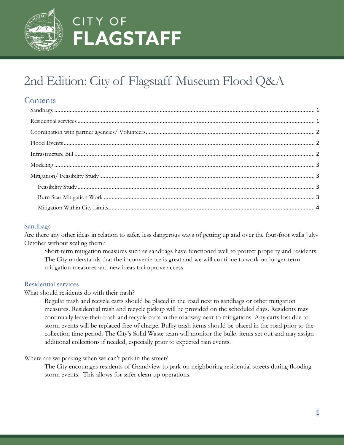

## 2nd Edition: City of Flagstaff Museum Flood Q&A

## **Contents**

### <span id="page-0-0"></span>Sandbags

Are there any other ideas in relation to safer, less dangerous ways of getting up and over the four-foot walls July-October without scaling them?

Short-term mitigation measures such as sandbags have functioned well to protect property and residents. The City understands that the inconvenience is great and we will continue to work on longer-term mitigation measures and new ideas to improve access.

### <span id="page-0-1"></span>Residential services

What should residents do with their trash?

Regular trash and recycle carts should be placed in the road next to sandbags or other mitigation measures. Residential trash and recycle pickup will be provided on the scheduled days. Residents may continually leave their trash and recycle carts in the roadway next to mitigations. Any carts lost due to storm events will be replaced free of charge. Bulky trash items should be placed in the road prior to the collection time period. The City's Solid Waste team will monitor the bulky items set out and may assign additional collections if needed, especially prior to expected rain events.

### Where are we parking when we can't park in the street?

The City encourages residents of Grandview to park on neighboring residential streets during flooding storm events. This allows for safer clean-up operations.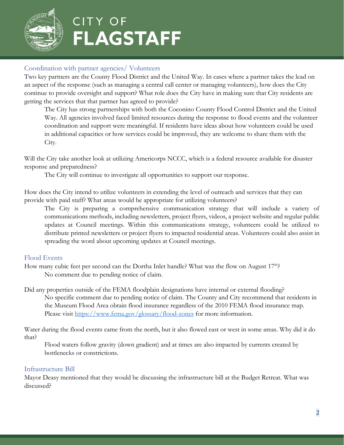

## <span id="page-1-0"></span>Coordination with partner agencies/ Volunteers

Two key partners are the County Flood District and the United Way. In cases where a partner takes the lead on an aspect of the response (such as managing a central call center or managing volunteers), how does the City continue to provide oversight and support? What role does the City have in making sure that City residents are getting the services that that partner has agreed to provide?

The City has strong partnerships with both the Coconino County Flood Control District and the United Way. All agencies involved faced limited resources during the response to flood events and the volunteer coordination and support were meaningful. If residents have ideas about how volunteers could be used in additional capacities or how services could be improved, they are welcome to share them with the City.

Will the City take another look at utilizing Americorps NCCC, which is a federal resource available for disaster response and preparedness?

The City will continue to investigate all opportunities to support our response.

How does the City intend to utilize volunteers in extending the level of outreach and services that they can provide with paid staff? What areas would be appropriate for utilizing volunteers?

The City is preparing a comprehensive communication strategy that will include a variety of communications methods, including newsletters, project flyers, videos, a project website and regular public updates at Council meetings. Within this communications strategy, volunteers could be utilized to distribute printed newsletters or project flyers to impacted residential areas. Volunteers could also assist in spreading the word about upcoming updates at Council meetings.

## <span id="page-1-1"></span>Flood Events

How many cubic feet per second can the Dortha Inlet handle? What was the flow on August  $17<sup>th</sup>$ ? No comment due to pending notice of claim.

Did any properties outside of the FEMA floodplain designations have internal or external flooding? No specific comment due to pending notice of claim. The County and City recommend that residents in the Museum Flood Area obtain flood insurance regardless of the 2010 FEMA flood insurance map. Please visit <https://www.fema.gov/glossary/flood-zones> for more information.

Water during the flood events came from the north, but it also flowed east or west in some areas. Why did it do that?

Flood waters follow gravity (down gradient) and at times are also impacted by currents created by bottlenecks or constrictions.

## <span id="page-1-2"></span>Infrastructure Bill

Mayor Deasy mentioned that they would be discussing the infrastructure bill at the Budget Retreat. What was discussed?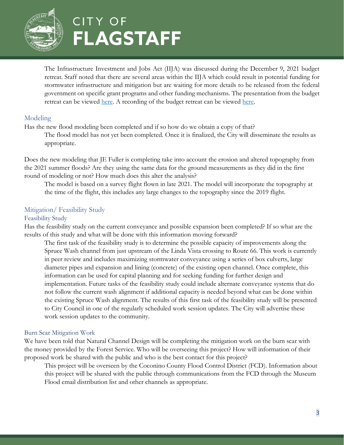

The Infrastructure Investment and Jobs Act (IIJA) was discussed during the December 9, 2021 budget retreat. Staff noted that there are several areas within the IIJA which could result in potential funding for stormwater infrastructure and mitigation but are waiting for more details to be released from the federal government on specific grant programs and other funding mechanisms. The presentation from the budget retreat can be viewed [here.](https://flagstaffaz.new.swagit.com/videos/149299) A recording of the budget retreat can be viewed here.

### <span id="page-2-0"></span>Modeling

Has the new flood modeling been completed and if so how do we obtain a copy of that?

The flood model has not yet been completed. Once it is finalized, the City will disseminate the results as appropriate.

Does the new modeling that JE Fuller is completing take into account the erosion and altered topography from the 2021 summer floods? Are they using the same data for the ground measurements as they did in the first round of modeling or not? How much does this alter the analysis?

The model is based on a survey flight flown in late 2021. The model will incorporate the topography at the time of the flight, this includes any large changes to the topography since the 2019 flight.

### <span id="page-2-1"></span>Mitigation/ Feasibility Study

#### <span id="page-2-2"></span>Feasibility Study

Has the feasibility study on the current conveyance and possible expansion been completed? If so what are the results of this study and what will be done with this information moving forward?

The first task of the feasibility study is to determine the possible capacity of improvements along the Spruce Wash channel from just upstream of the Linda Vista crossing to Route 66. This work is currently in peer review and includes maximizing stormwater conveyance using a series of box culverts, large diameter pipes and expansion and lining (concrete) of the existing open channel. Once complete, this information can be used for capital planning and for seeking funding for further design and implementation. Future tasks of the feasibility study could include alternate conveyance systems that do not follow the current wash alignment if additional capacity is needed beyond what can be done within the existing Spruce Wash alignment. The results of this first task of the feasibility study will be presented to City Council in one of the regularly scheduled work session updates. The City will advertise these work session updates to the community.

### <span id="page-2-3"></span>Burn Scar Mitigation Work

We have been told that Natural Channel Design will be completing the mitigation work on the burn scar with the money provided by the Forest Service. Who will be overseeing this project? How will information of their proposed work be shared with the public and who is the best contact for this project?

This project will be overseen by the Coconino County Flood Control District (FCD). Information about this project will be shared with the public through communications from the FCD through the Museum Flood email distribution list and other channels as appropriate.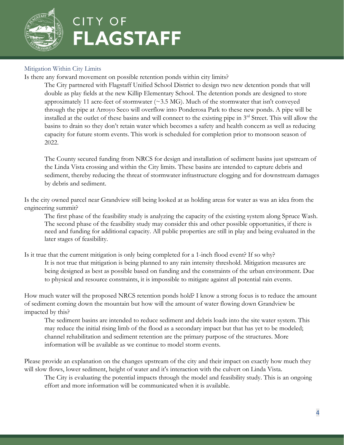

### <span id="page-3-0"></span>Mitigation Within City Limits

Is there any forward movement on possible retention ponds within city limits?

The City partnered with Flagstaff Unified School District to design two new detention ponds that will double as play fields at the new Killip Elementary School. The detention ponds are designed to store approximately 11 acre-feet of stormwater  $(\sim 3.5 \text{ MG})$ . Much of the stormwater that isn't conveyed through the pipe at Arroyo Seco will overflow into Ponderosa Park to these new ponds. A pipe will be installed at the outlet of these basins and will connect to the existing pipe in 3rd Street. This will allow the basins to drain so they don't retain water which becomes a safety and health concern as well as reducing capacity for future storm events. This work is scheduled for completion prior to monsoon season of 2022.

The County secured funding from NRCS for design and installation of sediment basins just upstream of the Linda Vista crossing and within the City limits. These basins are intended to capture debris and sediment, thereby reducing the threat of stormwater infrastructure clogging and for downstream damages by debris and sediment.

Is the city owned parcel near Grandview still being looked at as holding areas for water as was an idea from the engineering summit?

The first phase of the feasibility study is analyzing the capacity of the existing system along Spruce Wash. The second phase of the feasibility study may consider this and other possible opportunities, if there is need and funding for additional capacity. All public properties are still in play and being evaluated in the later stages of feasibility.

Is it true that the current mitigation is only being completed for a 1-inch flood event? If so why?

It is not true that mitigation is being planned to any rain intensity threshold. Mitigation measures are being designed as best as possible based on funding and the constraints of the urban environment. Due to physical and resource constraints, it is impossible to mitigate against all potential rain events.

How much water will the proposed NRCS retention ponds hold? I know a strong focus is to reduce the amount of sediment coming down the mountain but how will the amount of water flowing down Grandview be impacted by this?

The sediment basins are intended to reduce sediment and debris loads into the site water system. This may reduce the initial rising limb of the flood as a secondary impact but that has yet to be modeled; channel rehabilitation and sediment retention are the primary purpose of the structures. More information will be available as we continue to model storm events.

Please provide an explanation on the changes upstream of the city and their impact on exactly how much they will slow flows, lower sediment, height of water and it's interaction with the culvert on Linda Vista.

The City is evaluating the potential impacts through the model and feasibility study. This is an ongoing effort and more information will be communicated when it is available.